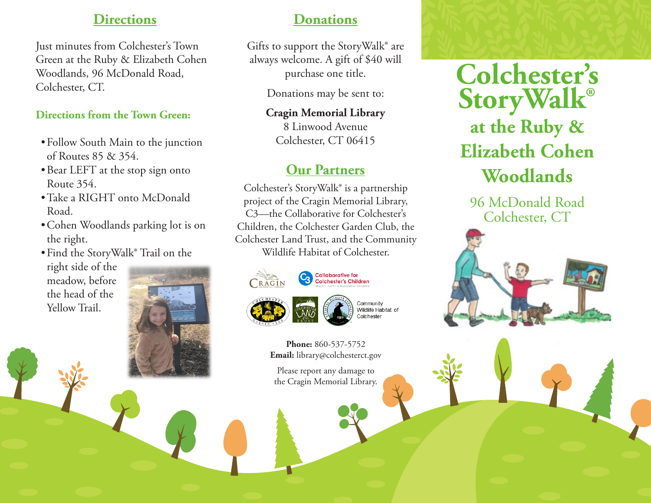### **Directions**

Just minutes from Colchester's Town Green at the Ruby & Elizabeth Cohen Woodlands, 96 McDonald Road, Colchester, CT.

### **Directions from the Town Green:**

- •Follow South Main to the junction of Routes 85 & 354.
- •Bear LEFT at the stop sign onto Route 354.
- •Take a RIGHT onto McDonald Road.
- •Cohen Woodlands parking lot is on the right.
- •Find the StoryWalk® Trail on the

right side of the meadow, before the head of the Yellow Trail.



## **Donations**

Gifts to support the StoryWalk<sup>®</sup> are always welcome. A gift of \$40 will purchase one title.

Donations may be sent to:

#### **Cragin Memorial Library**  8 Linwood Avenue Colchester, CT 06415

# **Our Partners**

Colchester's StoryWalk® is a partnership project of the Cragin Memorial Library, C3—the Collaborative for Colchester's Children, the Colchester Garden Club, the Colchester Land Trust, and the Community Wildlife Habitat of Colchester.







Community ildlife Habitat of

**Phone:** 860-537-5752 **Email:** library@colchesterct.gov

Please report any damage to the Cragin Memorial Library.



96 McDonald Road Colchester, CT